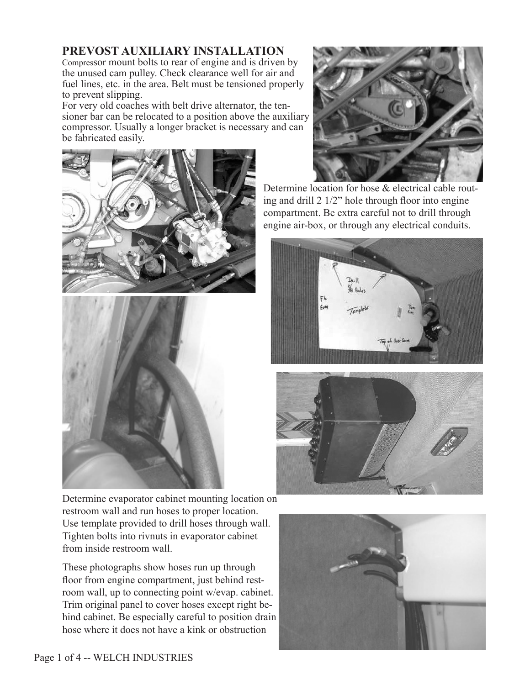## **PREVOST AUXILIARY Installation**

Compressor mount bolts to rear of engine and is driven by the unused cam pulley. Check clearance well for air and fuel lines, etc. in the area. Belt must be tensioned properly to prevent slipping.

For very old coaches with belt drive alternator, the tensioner bar can be relocated to a position above the auxiliary compressor. Usually a longer bracket is necessary and can be fabricated easily.







Determine location for hose & electrical cable routing and drill 2 1/2" hole through floor into engine compartment. Be extra careful not to drill through engine air-box, or through any electrical conduits.





Determine evaporator cabinet mounting location on restroom wall and run hoses to proper location. Use template provided to drill hoses through wall. Tighten bolts into rivnuts in evaporator cabinet from inside restroom wall.

These photographs show hoses run up through floor from engine compartment, just behind restroom wall, up to connecting point w/evap. cabinet. Trim original panel to cover hoses except right behind cabinet. Be especially careful to position drain hose where it does not have a kink or obstruction

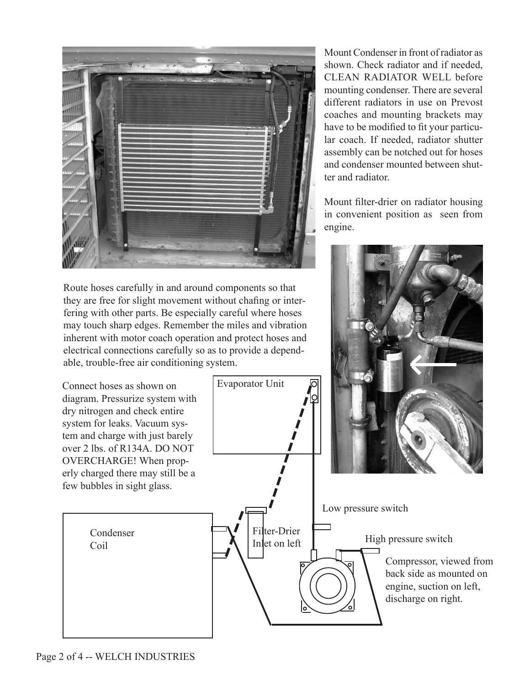

Route hoses carefully in and around components so that they are free for slight movement without chafing or interfering with other parts. Be especially careful where hoses may touch sharp edges. Remember the miles and vibration inherent with motor coach operation and protect hoses and electrical connections carefully so as to provide a dependable, trouble-free air conditioning system.

Mount Condenser in front of radiator as shown. Check radiator and if needed, CLEAN RADIATOR WELL before mounting condenser. There are several different radiators in use on Prevost coaches and mounting brackets may have to be modified to fit your particular coach. If needed, radiator shutter assembly can be notched out for hoses and condenser mounted between shutter and radiator.

Mount filter-drier on radiator housing in convenient position as seen from engine.





Page 2 of 4 -- WELCH INDUSTRIES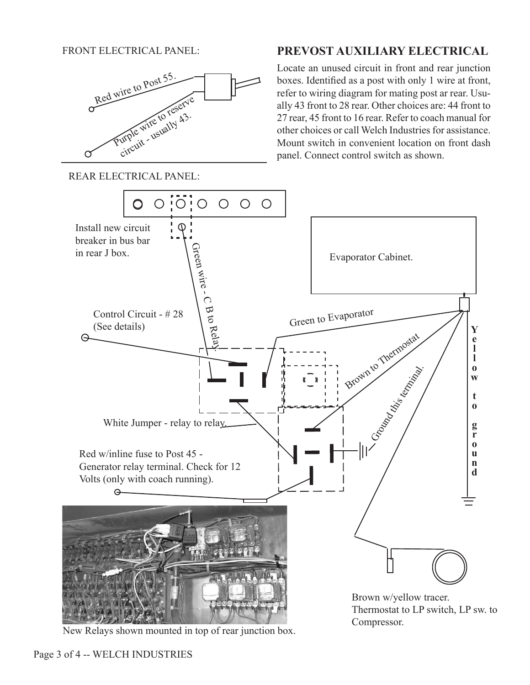FRONT ELECTRICAL PANEL:



REAR ELECTRICAL PANEL:

## **PREVOST AUXILIARY ELECTRICAL**

Locate an unused circuit in front and rear junction boxes. Identified as a post with only 1 wire at front, refer to wiring diagram for mating post ar rear. Usually 43 front to 28 rear. Other choices are: 44 front to 27 rear, 45 front to 16 rear. Refer to coach manual for other choices or call Welch Industries for assistance. Mount switch in convenient location on front dash panel. Connect control switch as shown.



New Relays shown mounted in top of rear junction box.